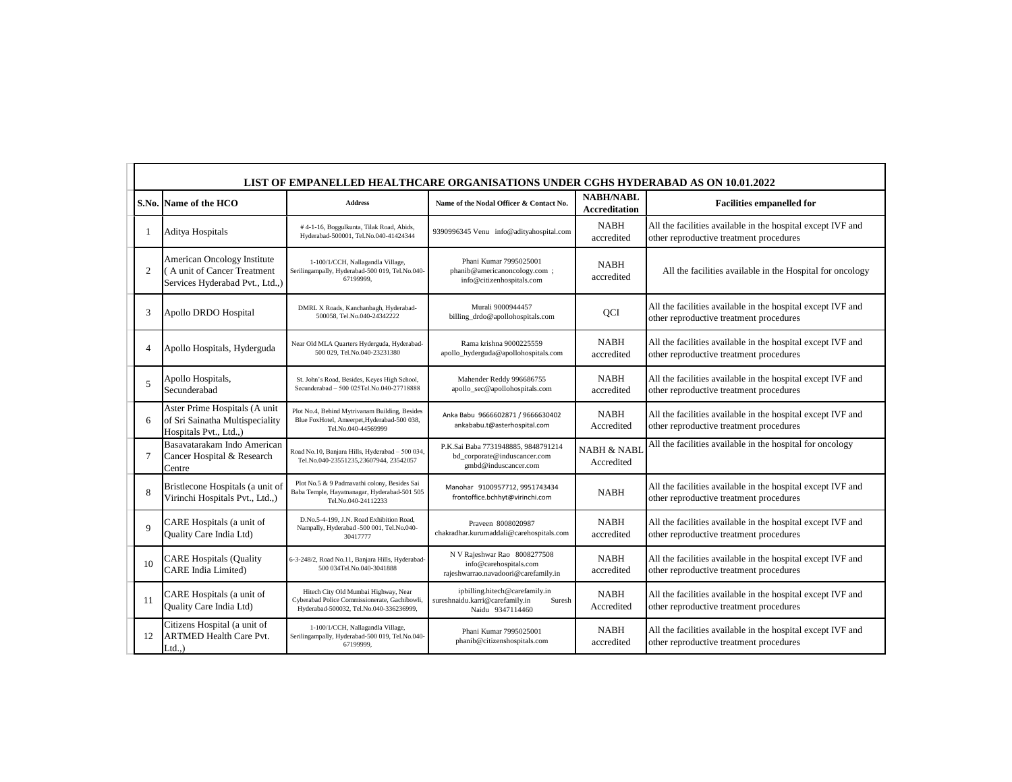|                          | LIST OF EMPANELLED HEALTHCARE ORGANISATIONS UNDER CGHS HYDERABAD AS ON 10.01.2022             |                                                                                                                                  |                                                                                                 |                                          |                                                                                                        |  |  |
|--------------------------|-----------------------------------------------------------------------------------------------|----------------------------------------------------------------------------------------------------------------------------------|-------------------------------------------------------------------------------------------------|------------------------------------------|--------------------------------------------------------------------------------------------------------|--|--|
|                          | S.No. Name of the HCO                                                                         | <b>Address</b>                                                                                                                   | Name of the Nodal Officer & Contact No.                                                         | <b>NABH/NABL</b><br><b>Accreditation</b> | <b>Facilities empanelled for</b>                                                                       |  |  |
|                          | Aditya Hospitals                                                                              | #4-1-16, Boggulkunta, Tilak Road, Abids,<br>Hyderabad-500001, Tel.No.040-41424344                                                | 9390996345 Venu info@adityahospital.com                                                         | <b>NABH</b><br>accredited                | All the facilities available in the hospital except IVF and<br>other reproductive treatment procedures |  |  |
| $\overline{2}$           | American Oncology Institute<br>(A unit of Cancer Treatment<br>Services Hyderabad Pvt., Ltd.,) | 1-100/1/CCH, Nallagandla Village,<br>Serilingampally, Hyderabad-500 019, Tel.No.040-<br>67199999,                                | Phani Kumar 7995025001<br>phanib@americanoncology.com ;<br>info@citizenhospitals.com            | <b>NABH</b><br>accredited                | All the facilities available in the Hospital for oncology                                              |  |  |
| 3                        | Apollo DRDO Hospital                                                                          | DMRL X Roads, Kanchanbagh, Hyderabad-<br>500058, Tel.No.040-24342222                                                             | Murali 9000944457<br>billing_drdo@apollohospitals.com                                           | QCI                                      | All the facilities available in the hospital except IVF and<br>other reproductive treatment procedures |  |  |
| 4                        | Apollo Hospitals, Hyderguda                                                                   | Near Old MLA Quarters Hyderguda, Hyderabad-<br>500 029, Tel.No.040-23231380                                                      | Rama krishna 9000225559<br>apollo_hyderguda@apollohospitals.com                                 | <b>NABH</b><br>accredited                | All the facilities available in the hospital except IVF and<br>other reproductive treatment procedures |  |  |
| $\overline{\phantom{0}}$ | Apollo Hospitals,<br>Secunderabad                                                             | St. John's Road, Besides, Keyes High School,<br>Secunderabad - 500 025Tel.No.040-27718888                                        | Mahender Reddy 996686755<br>apollo_sec@apollohospitals.com                                      | <b>NABH</b><br>accredited                | All the facilities available in the hospital except IVF and<br>other reproductive treatment procedures |  |  |
| 6                        | Aster Prime Hospitals (A unit<br>of Sri Sainatha Multispeciality<br>Hospitals Pvt., Ltd.,)    | Plot No.4, Behind Mytrivanam Building, Besides<br>Blue FoxHotel, Ameerpet, Hyderabad-500 038,<br>Tel.No.040-44569999             | Anka Babu 9666602871 / 9666630402<br>ankababu.t@asterhospital.com                               | <b>NABH</b><br>Accredited                | All the facilities available in the hospital except IVF and<br>other reproductive treatment procedures |  |  |
| 7                        | Basavatarakam Indo American<br>Cancer Hospital & Research<br>Centre                           | Road No.10, Banjara Hills, Hyderabad - 500 034<br>Tel.No.040-23551235,23607944, 23542057                                         | P.K.Sai Baba 7731948885, 9848791214<br>bd_corporate@induscancer.com<br>gmbd@induscancer.com     | <b>NABH &amp; NABI</b><br>Accredited     | All the facilities available in the hospital for oncology                                              |  |  |
| $\mathbf{8}$             | Bristlecone Hospitals (a unit of<br>Virinchi Hospitals Pvt., Ltd.,)                           | Plot No.5 & 9 Padmavathi colony, Besides Sai<br>Baba Temple, Hayatnanagar, Hyderabad-501 505<br>Tel.No.040-24112233              | Manohar 9100957712, 9951743434<br>frontoffice.bchhyt@virinchi.com                               | <b>NABH</b>                              | All the facilities available in the hospital except IVF and<br>other reproductive treatment procedures |  |  |
| $\mathbf Q$              | CARE Hospitals (a unit of<br>Quality Care India Ltd)                                          | D.No.5-4-199, J.N. Road Exhibition Road,<br>Nampally, Hyderabad -500 001, Tel.No.040-<br>30417777                                | Prayeen 8008020987<br>chakradhar.kurumaddali@carehospitals.com                                  | <b>NABH</b><br>accredited                | All the facilities available in the hospital except IVF and<br>other reproductive treatment procedures |  |  |
| 10                       | <b>CARE Hospitals (Quality</b><br><b>CARE</b> India Limited)                                  | 6-3-248/2, Road No.11, Banjara Hills, Hyderabad-<br>500 034Tel.No.040-3041888                                                    | N V Rajeshwar Rao 8008277508<br>info@carehospitals.com<br>rajeshwarrao.navadoori@carefamily.in  | <b>NABH</b><br>accredited                | All the facilities available in the hospital except IVF and<br>other reproductive treatment procedures |  |  |
| 11                       | CARE Hospitals (a unit of<br>Quality Care India Ltd)                                          | Hitech City Old Mumbai Highway, Near<br>Cyberabad Police Commissionerate, Gachibowli,<br>Hyderabad-500032, Tel.No.040-336236999, | ipbilling.hitech@carefamily.in<br>sureshnaidu.karri@carefamily.in<br>Suresh<br>Naidu 9347114460 | <b>NABH</b><br>Accredited                | All the facilities available in the hospital except IVF and<br>other reproductive treatment procedures |  |  |
| 12                       | Citizens Hospital (a unit of<br><b>ARTMED Health Care Pvt.</b><br>$Ltd.$ )                    | 1-100/1/CCH, Nallagandla Village,<br>Serilingampally, Hyderabad-500 019, Tel.No.040-<br>67199999,                                | Phani Kumar 7995025001<br>phanib@citizenshospitals.com                                          | <b>NABH</b><br>accredited                | All the facilities available in the hospital except IVF and<br>other reproductive treatment procedures |  |  |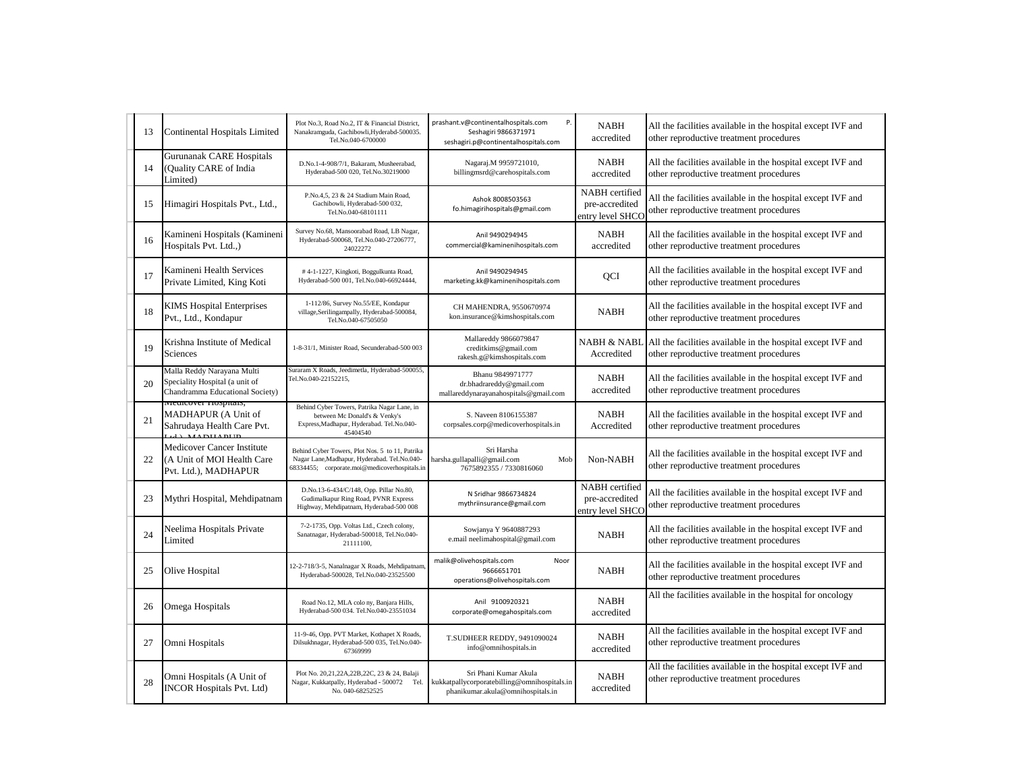| 13 | Continental Hospitals Limited                                                                   | Plot No.3, Road No.2, IT & Financial District,<br>Nanakramguda, Gachibowli, Hyderabd-500035.<br>Tel.No.040-6700000                               | prashant.v@continentalhospitals.com<br>P.<br>Seshagiri 9866371971<br>seshagiri.p@continentalhospitals.com  | <b>NABH</b><br>accredited                            | All the facilities available in the hospital except IVF and<br>other reproductive treatment procedures |
|----|-------------------------------------------------------------------------------------------------|--------------------------------------------------------------------------------------------------------------------------------------------------|------------------------------------------------------------------------------------------------------------|------------------------------------------------------|--------------------------------------------------------------------------------------------------------|
| 14 | Gurunanak CARE Hospitals<br>(Quality CARE of India<br>Limited)                                  | D.No.1-4-908/7/1, Bakaram, Musheerabad,<br>Hyderabad-500 020, Tel.No.30219000                                                                    | Nagaraj.M 9959721010,<br>billingmsrd@carehospitals.com                                                     | <b>NABH</b><br>accredited                            | All the facilities available in the hospital except IVF and<br>other reproductive treatment procedures |
| 15 | Himagiri Hospitals Pvt., Ltd.,                                                                  | P.No.4,5, 23 & 24 Stadium Main Road,<br>Gachibowli, Hyderabad-500 032,<br>Tel.No.040-68101111                                                    | Ashok 8008503563<br>fo.himagirihospitals@gmail.com                                                         | NABH certified<br>pre-accredited<br>entry level SHCO | All the facilities available in the hospital except IVF and<br>other reproductive treatment procedures |
| 16 | Kamineni Hospitals (Kamineni<br>Hospitals Pvt. Ltd.,)                                           | Survey No.68, Mansoorabad Road, LB Nagar,<br>Hyderabad-500068, Tel.No.040-27206777,<br>24022272                                                  | Anil 9490294945<br>commercial@kaminenihospitals.com                                                        | <b>NABH</b><br>accredited                            | All the facilities available in the hospital except IVF and<br>other reproductive treatment procedures |
| 17 | Kamineni Health Services<br>Private Limited, King Koti                                          | #4-1-1227, Kingkoti, Boggulkunta Road,<br>Hyderabad-500 001, Tel.No.040-66924444,                                                                | Anil 9490294945<br>marketing.kk@kaminenihospitals.com                                                      | QCI                                                  | All the facilities available in the hospital except IVF and<br>other reproductive treatment procedures |
| 18 | <b>KIMS</b> Hospital Enterprises<br>Pvt., Ltd., Kondapur                                        | 1-112/86, Survey No.55/EE, Kondapur<br>village, Serilingampally, Hyderabad-500084,<br>Tel.No.040-67505050                                        | CH MAHENDRA, 9550670974<br>kon.insurance@kimshospitals.com                                                 | <b>NABH</b>                                          | All the facilities available in the hospital except IVF and<br>other reproductive treatment procedures |
| 19 | Krishna Institute of Medical<br>Sciences                                                        | 1-8-31/1, Minister Road, Secunderabad-500 003                                                                                                    | Mallareddy 9866079847<br>creditkims@gmail.com<br>rakesh.g@kimshospitals.com                                | NABH & NABL<br>Accredited                            | All the facilities available in the hospital except IVF and<br>other reproductive treatment procedures |
| 20 | Malla Reddy Narayana Multi<br>Speciality Hospital (a unit of<br>Chandramma Educational Society) | Suraram X Roads, Jeedimetla, Hyderabad-500055.<br>Tel.No.040-22152215,                                                                           | Bhanu 9849971777<br>dr.bhadrareddy@gmail.com<br>mallareddynarayanahospitals@gmail.com                      | <b>NABH</b><br>accredited                            | All the facilities available in the hospital except IVF and<br>other reproductive treatment procedures |
| 21 | wieurcover rrospitais,<br>MADHAPUR (A Unit of<br>Sahrudaya Health Care Pvt.<br>$I$ A DITA DITO  | Behind Cyber Towers, Patrika Nagar Lane, in<br>between Mc Donald's & Venky's<br>Express, Madhapur, Hyderabad. Tel.No.040-<br>45404540            | S. Naveen 8106155387<br>corpsales.corp@medicoverhospitals.in                                               | NABH<br>Accredited                                   | All the facilities available in the hospital except IVF and<br>other reproductive treatment procedures |
| 22 | Medicover Cancer Institute<br>(A Unit of MOI Health Care<br>Pvt. Ltd.), MADHAPUR                | Behind Cyber Towers, Plot Nos. 5 to 11, Patrika<br>Nagar Lane, Madhapur, Hyderabad. Tel.No.040-<br>68334455; corporate.moi@medicoverhospitals.in | Sri Harsha<br>harsha.gullapalli@gmail.com<br>Mob<br>7675892355 / 7330816060                                | Non-NABH                                             | All the facilities available in the hospital except IVF and<br>other reproductive treatment procedures |
| 23 | Mythri Hospital, Mehdipatnam                                                                    | D.No.13-6-434/C/148, Opp. Pillar No.80,<br>Gudimalkapur Ring Road, PVNR Express<br>Highway, Mehdipatnam, Hyderabad-500 008                       | N Sridhar 9866734824<br>mythriinsurance@gmail.com                                                          | NABH certified<br>pre-accredited<br>entry level SHCO | All the facilities available in the hospital except IVF and<br>other reproductive treatment procedures |
| 24 | Neelima Hospitals Private<br>Limited                                                            | 7-2-1735, Opp. Voltas Ltd., Czech colony,<br>Sanatnagar, Hyderabad-500018, Tel.No.040-<br>21111100,                                              | Sowjanya Y 9640887293<br>e.mail neelimahospital@gmail.com                                                  | <b>NABH</b>                                          | All the facilities available in the hospital except IVF and<br>other reproductive treatment procedures |
| 25 | Olive Hospital                                                                                  | 12-2-718/3-5, Nanalnagar X Roads, Mehdipatnam<br>Hyderabad-500028, Tel.No.040-23525500                                                           | malik@olivehospitals.com<br>Noor<br>9666651701<br>operations@olivehospitals.com                            | <b>NABH</b>                                          | All the facilities available in the hospital except IVF and<br>other reproductive treatment procedures |
| 26 | Omega Hospitals                                                                                 | Road No.12, MLA colo ny, Banjara Hills,<br>Hyderabad-500 034. Tel.No.040-23551034                                                                | Anil 9100920321<br>corporate@omegahospitals.com                                                            | <b>NABH</b><br>accredited                            | All the facilities available in the hospital for oncology                                              |
| 27 | Omni Hospitals                                                                                  | 11-9-46, Opp. PVT Market, Kothapet X Roads,<br>Dilsukhnagar, Hyderabad-500 035, Tel.No.040-<br>67369999                                          | T.SUDHEER REDDY, 9491090024<br>info@omnihospitals.in                                                       | <b>NABH</b><br>accredited                            | All the facilities available in the hospital except IVF and<br>other reproductive treatment procedures |
| 28 | Omni Hospitals (A Unit of<br><b>INCOR Hospitals Pvt. Ltd)</b>                                   | Plot No. 20,21,22A,22B,22C, 23 & 24, Balaji<br>Nagar, Kukkatpally, Hyderabad - 500072<br>Tel.<br>No. 040-68252525                                | Sri Phani Kumar Akula<br>kukkatpallycorporatebilling@omnihospitals.in<br>phanikumar.akula@omnihospitals.in | <b>NABH</b><br>accredited                            | All the facilities available in the hospital except IVF and<br>other reproductive treatment procedures |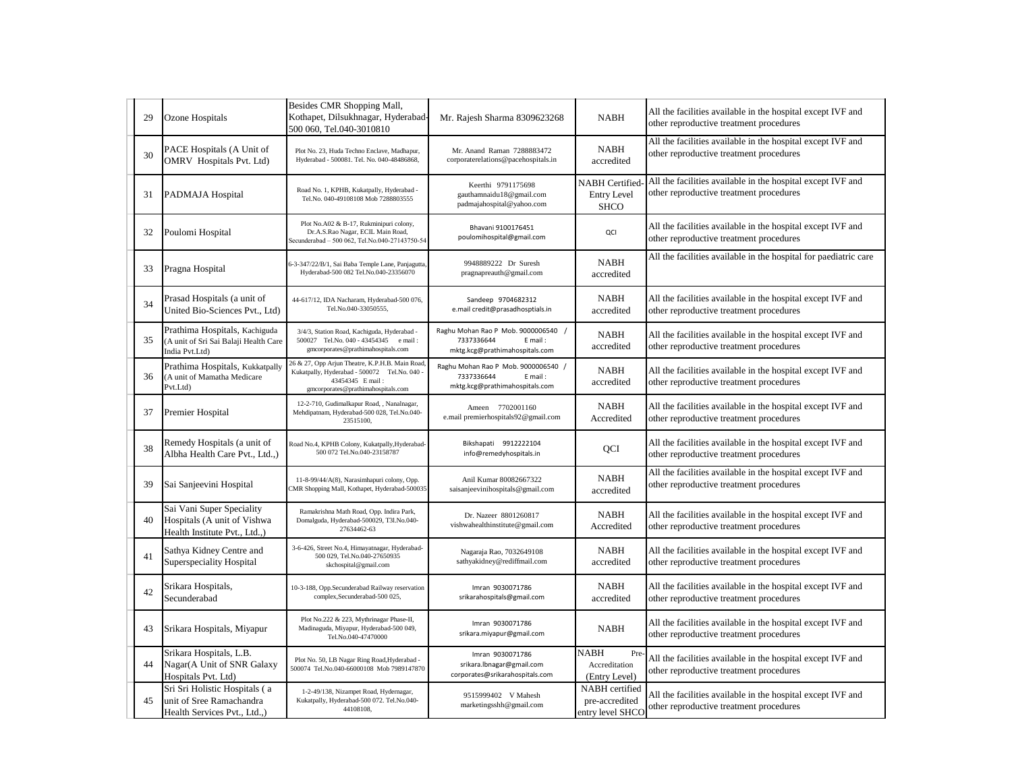| 29 | Ozone Hospitals                                                                           | Besides CMR Shopping Mall,<br>Kothapet, Dilsukhnagar, Hyderabad-<br>500 060, Tel.040-3010810                                                             | Mr. Rajesh Sharma 8309623268                                                                   | <b>NABH</b>                                                | All the facilities available in the hospital except IVF and<br>other reproductive treatment procedures |
|----|-------------------------------------------------------------------------------------------|----------------------------------------------------------------------------------------------------------------------------------------------------------|------------------------------------------------------------------------------------------------|------------------------------------------------------------|--------------------------------------------------------------------------------------------------------|
| 30 | PACE Hospitals (A Unit of<br>OMRV Hospitals Pvt. Ltd)                                     | Plot No. 23, Huda Techno Enclave, Madhapur,<br>Hyderabad - 500081. Tel. No. 040-48486868,                                                                | Mr. Anand Raman 7288883472<br>corporaterelations@pacehospitals.in                              | <b>NABH</b><br>accredited                                  | All the facilities available in the hospital except IVF and<br>other reproductive treatment procedures |
| 31 | PADMAJA Hospital                                                                          | Road No. 1, KPHB, Kukatpally, Hyderabad -<br>Tel.No. 040-49108108 Mob 7288803555                                                                         | Keerthi 9791175698<br>gauthamnaidu18@gmail.com<br>padmajahospital@yahoo.com                    | <b>NABH</b> Certified<br><b>Entry Level</b><br><b>SHCO</b> | All the facilities available in the hospital except IVF and<br>other reproductive treatment procedures |
| 32 | Poulomi Hospital                                                                          | Plot No.A02 & B-17, Rukminipuri colony,<br>Dr.A.S.Rao Nagar, ECIL Main Road,<br>Secunderabad - 500 062, Tel.No.040-27143750-54                           | Bhavani 9100176451<br>poulomihospital@gmail.com                                                | QCI                                                        | All the facilities available in the hospital except IVF and<br>other reproductive treatment procedures |
| 33 | Pragna Hospital                                                                           | 6-3-347/22/B/1, Sai Baba Temple Lane, Panjagutta<br>Hyderabad-500 082 Tel.No.040-23356070                                                                | 9948889222 Dr Suresh<br>pragnapreauth@gmail.com                                                | <b>NABH</b><br>accredited                                  | All the facilities available in the hospital for paediatric care                                       |
| 34 | Prasad Hospitals (a unit of<br>United Bio-Sciences Pvt., Ltd)                             | 44-617/12, IDA Nacharam, Hyderabad-500 076,<br>Tel.No.040-33050555,                                                                                      | Sandeep 9704682312<br>e.mail credit@prasadhosptials.in                                         | <b>NABH</b><br>accredited                                  | All the facilities available in the hospital except IVF and<br>other reproductive treatment procedures |
| 35 | Prathima Hospitals, Kachiguda<br>(A unit of Sri Sai Balaji Health Care<br>India Pvt.Ltd)  | 3/4/3, Station Road, Kachiguda, Hyderabad -<br>500027 Tel.No. 040 - 43454345 e mail:<br>gmcorporates@prathimahospitals.com                               | Raghu Mohan Rao P Mob. 9000006540 /<br>7337336644<br>E mail:<br>mktg.kcg@prathimahospitals.com | <b>NABH</b><br>accredited                                  | All the facilities available in the hospital except IVF and<br>other reproductive treatment procedures |
| 36 | Prathima Hospitals, Kukkatpally<br>(A unit of Mamatha Medicare<br>Pvt.Ltd)                | 26 & 27, Opp Arjun Theatre, K.P.H.B. Main Road<br>Kukatpally, Hyderabad - 500072 Tel.No. 040 -<br>43454345 E mail:<br>gmcorporates@prathimahospitals.com | Raghu Mohan Rao P Mob. 9000006540 /<br>7337336644<br>E mail:<br>mktg.kcg@prathimahospitals.com | NABH<br>accredited                                         | All the facilities available in the hospital except IVF and<br>other reproductive treatment procedures |
| 37 | Premier Hospital                                                                          | 12-2-710, Gudimalkapur Road, , Nanalnagar,<br>Mehdipatnam, Hyderabad-500 028, Tel.No.040-<br>23515100,                                                   | Ameen 7702001160<br>e.mail premierhospitals92@gmail.com                                        | <b>NABH</b><br>Accredited                                  | All the facilities available in the hospital except IVF and<br>other reproductive treatment procedures |
| 38 | Remedy Hospitals (a unit of<br>Albha Health Care Pvt., Ltd.,)                             | Road No.4, KPHB Colony, Kukatpally, Hyderabad-<br>500 072 Tel.No.040-23158787                                                                            | Bikshapati 9912222104<br>info@remedyhospitals.in                                               | QCI                                                        | All the facilities available in the hospital except IVF and<br>other reproductive treatment procedures |
| 39 | Sai Sanjeevini Hospital                                                                   | 11-8-99/44/A(8), Narasimhapuri colony, Opp.<br>MR Shopping Mall, Kothapet, Hyderabad-50003:                                                              | Anil Kumar 80082667322<br>saisanjeevinihospitals@gmail.com                                     | <b>NABH</b><br>accredited                                  | All the facilities available in the hospital except IVF and<br>other reproductive treatment procedures |
| 40 | Sai Vani Super Speciality<br>Hospitals (A unit of Vishwa<br>Health Institute Pvt., Ltd.,) | Ramakrishna Math Road, Opp. Indira Park,<br>Domalguda, Hyderabad-500029, T3l.No.040-<br>27634462-63                                                      | Dr. Nazeer 8801260817<br>vishwahealthinstitute@gmail.com                                       | <b>NABH</b><br>Accredited                                  | All the facilities available in the hospital except IVF and<br>other reproductive treatment procedures |
| 41 | Sathya Kidney Centre and<br>Superspeciality Hospital                                      | 3-6-426, Street No.4, Himayatnagar, Hyderabad-<br>500 029, Tel.No.040-27650935<br>skchospital@gmail.com                                                  | Nagaraja Rao, 7032649108<br>sathyakidney@rediffmail.com                                        | <b>NABH</b><br>accredited                                  | All the facilities available in the hospital except IVF and<br>other reproductive treatment procedures |
| 42 | Srikara Hospitals,<br>Secunderabad                                                        | 10-3-188, Opp.Secunderabad Railway reservation<br>complex, Secunderabad-500 025,                                                                         | Imran 9030071786<br>srikarahospitals@gmail.com                                                 | <b>NABH</b><br>accredited                                  | All the facilities available in the hospital except IVF and<br>other reproductive treatment procedures |
| 43 | Srikara Hospitals, Miyapur                                                                | Plot No.222 & 223, Mythrinagar Phase-II,<br>Madinaguda, Miyapur, Hyderabad-500 049,<br>Tel.No.040-47470000                                               | Imran 9030071786<br>srikara.miyapur@gmail.com                                                  | <b>NABH</b>                                                | All the facilities available in the hospital except IVF and<br>other reproductive treatment procedures |
| 44 | Srikara Hospitals, L.B.<br>Nagar(A Unit of SNR Galaxy<br>Hospitals Pvt. Ltd)              | Plot No. 50, LB Nagar Ring Road, Hyderabad -<br>500074 Tel.No.040-66000108 Mob 7989147870                                                                | Imran 9030071786<br>srikara.Ibnagar@gmail.com<br>corporates@srikarahospitals.com               | <b>NABH</b><br>Pre<br>Accreditation<br>(Entry Level)       | All the facilities available in the hospital except IVF and<br>other reproductive treatment procedures |
| 45 | Sri Sri Holistic Hospitals (a<br>unit of Sree Ramachandra<br>Health Services Pvt., Ltd.,) | 1-2-49/138, Nizampet Road, Hydernagar,<br>Kukatpally, Hyderabad-500 072. Tel.No.040-<br>44108108,                                                        | 9515999402 V Mahesh<br>marketingsshh@gmail.com                                                 | NABH certified<br>pre-accredited<br>entry level SHCO       | All the facilities available in the hospital except IVF and<br>other reproductive treatment procedures |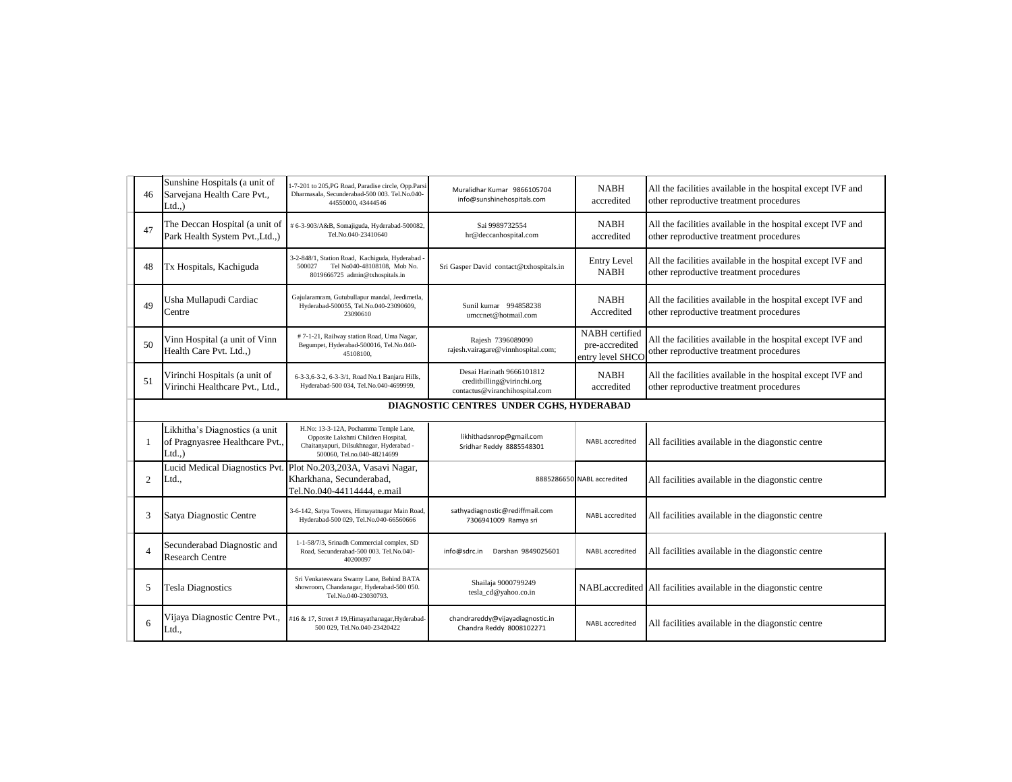| 46             | Sunshine Hospitals (a unit of<br>Sarvejana Health Care Pvt.,<br>$Ltd.$ )      | -7-201 to 205, PG Road, Paradise circle, Opp.Parsi<br>Dharmasala, Secunderabad-500 003. Tel.No.040-<br>44550000, 43444546                               | Muralidhar Kumar 9866105704<br>info@sunshinehospitals.com                                 | <b>NABH</b><br>accredited                            | All the facilities available in the hospital except IVF and<br>other reproductive treatment procedures |
|----------------|-------------------------------------------------------------------------------|---------------------------------------------------------------------------------------------------------------------------------------------------------|-------------------------------------------------------------------------------------------|------------------------------------------------------|--------------------------------------------------------------------------------------------------------|
| 47             | The Deccan Hospital (a unit of<br>Park Health System Pvt., Ltd.,)             | # 6-3-903/A&B, Somajiguda, Hyderabad-500082,<br>Tel.No.040-23410640                                                                                     | Sai 9989732554<br>hr@deccanhospital.com                                                   | <b>NABH</b><br>accredited                            | All the facilities available in the hospital except IVF and<br>other reproductive treatment procedures |
| 48             | Tx Hospitals, Kachiguda                                                       | 3-2-848/1, Station Road, Kachiguda, Hyderabad<br>Tel No040-48108108, Mob No.<br>500027<br>8019666725 admin@txhospitals.in                               | Sri Gasper David contact@txhospitals.in                                                   | <b>Entry Level</b><br><b>NABH</b>                    | All the facilities available in the hospital except IVF and<br>other reproductive treatment procedures |
| 49             | Usha Mullapudi Cardiac<br>Centre                                              | Gajularamram, Gutubullapur mandal, Jeedimetla,<br>Hyderabad-500055, Tel.No.040-23090609,<br>23090610                                                    | Sunil kumar 994858238<br>umccnet@hotmail.com                                              | <b>NABH</b><br>Accredited                            | All the facilities available in the hospital except IVF and<br>other reproductive treatment procedures |
| 50             | Vinn Hospital (a unit of Vinn<br>Health Care Pvt. Ltd.,)                      | #7-1-21, Railway station Road, Uma Nagar,<br>Begumpet, Hyderabad-500016, Tel.No.040-<br>45108100,                                                       | Rajesh 7396089090<br>rajesh.vairagare@vinnhospital.com;                                   | NABH certified<br>pre-accredited<br>entry level SHCO | All the facilities available in the hospital except IVF and<br>other reproductive treatment procedures |
| 51             | Virinchi Hospitals (a unit of<br>Virinchi Healthcare Pvt., Ltd.,              | 6-3-3,6-3-2, 6-3-3/1, Road No.1 Banjara Hills,<br>Hyderabad-500 034, Tel.No.040-4699999,                                                                | Desai Harinath 9666101812<br>creditbilling@virinchi.org<br>contactus@viranchihospital.com | <b>NABH</b><br>accredited                            | All the facilities available in the hospital except IVF and<br>other reproductive treatment procedures |
|                |                                                                               |                                                                                                                                                         | DIAGNOSTIC CENTRES UNDER CGHS, HYDERABAD                                                  |                                                      |                                                                                                        |
|                | Likhitha's Diagnostics (a unit<br>of Pragnyasree Healthcare Pvt.,<br>$Ltd.$ ) | H.No: 13-3-12A, Pochamma Temple Lane,<br>Opposite Lakshmi Children Hospital,<br>Chaitanyapuri, Dilsukhnagar, Hyderabad -<br>500060, Tel.no.040-48214699 | likhithadsnrop@gmail.com<br>Sridhar Reddy 8885548301                                      | NABL accredited                                      | All facilities available in the diagonstic centre                                                      |
| $\overline{2}$ | Ltd.,                                                                         | Lucid Medical Diagnostics Pvt. Plot No.203,203A, Vasavi Nagar,<br>Kharkhana, Secunderabad,<br>Tel.No.040-44114444. e.mail                               |                                                                                           | 8885286650 NABL accredited                           | All facilities available in the diagonstic centre                                                      |
| 3              | Satya Diagnostic Centre                                                       | 3-6-142, Satya Towers, Himayatnagar Main Road<br>Hyderabad-500 029, Tel.No.040-66560666                                                                 | sathyadiagnostic@rediffmail.com<br>7306941009 Ramya sri                                   | NABL accredited                                      | All facilities available in the diagonstic centre                                                      |
| $\Delta$       | Secunderabad Diagnostic and<br><b>Research Centre</b>                         | 1-1-58/7/3, Srinadh Commercial complex, SD<br>Road, Secunderabad-500 003. Tel.No.040-<br>40200097                                                       | Darshan 9849025601<br>info@sdrc.in                                                        | NABL accredited                                      | All facilities available in the diagonstic centre                                                      |
| 5              | <b>Tesla Diagnostics</b>                                                      | Sri Venkateswara Swamy Lane, Behind BATA<br>showroom, Chandanagar, Hyderabad-500 050.<br>Tel.No.040-23030793.                                           | Shailaja 9000799249<br>tesla_cd@yahoo.co.in                                               |                                                      | NABLaccredited All facilities available in the diagonstic centre                                       |
| 6              | Vijaya Diagnostic Centre Pvt.,<br>Ltd.,                                       | #16 & 17, Street # 19, Himayathanagar, Hyderabad-<br>500 029, Tel.No.040-23420422                                                                       | chandrareddy@vijayadiagnostic.in<br>Chandra Reddy 8008102271                              | <b>NABL</b> accredited                               | All facilities available in the diagonstic centre                                                      |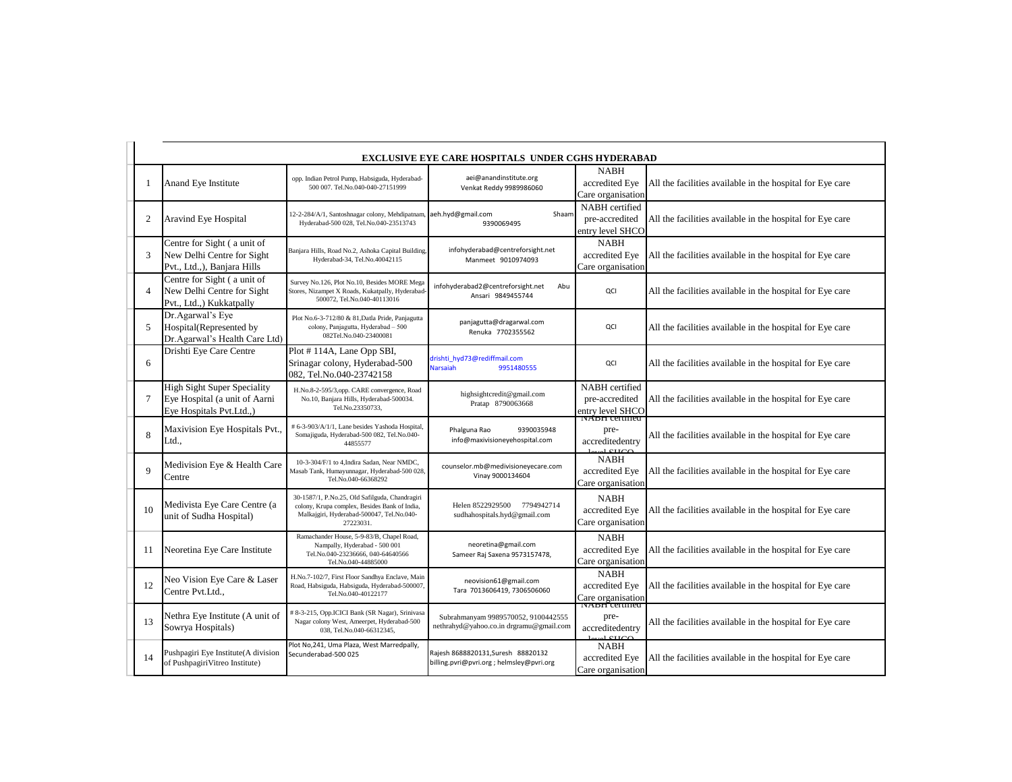|                | <b>EXCLUSIVE EYE CARE HOSPITALS UNDER CGHS HYDERABAD</b>                                        |                                                                                                                                                           |                                                                                 |                                                      |                                                           |  |
|----------------|-------------------------------------------------------------------------------------------------|-----------------------------------------------------------------------------------------------------------------------------------------------------------|---------------------------------------------------------------------------------|------------------------------------------------------|-----------------------------------------------------------|--|
|                | Anand Eye Institute                                                                             | opp. Indian Petrol Pump, Habsiguda, Hyderabad-<br>500 007. Tel.No.040-040-27151999                                                                        | aei@anandinstitute.org<br>Venkat Reddy 9989986060                               | <b>NABH</b><br>accredited Eye<br>Care organisation   | All the facilities available in the hospital for Eye care |  |
| 2              | Aravind Eye Hospital                                                                            | 12-2-284/A/1, Santoshnagar colony, Mehdipatnan<br>Hyderabad-500 028, Tel.No.040-23513743                                                                  | aeh.hyd@gmail.com<br>Shaam<br>9390069495                                        | NABH certified<br>pre-accredited<br>entry level SHCO | All the facilities available in the hospital for Eye care |  |
| 3              | Centre for Sight (a unit of<br>New Delhi Centre for Sight<br>Pvt., Ltd.,), Banjara Hills        | Banjara Hills, Road No.2, Ashoka Capital Building,<br>Hyderabad-34, Tel.No.40042115                                                                       | infohyderabad@centreforsight.net<br>Manmeet 9010974093                          | <b>NABH</b><br>accredited Eye<br>Care organisation   | All the facilities available in the hospital for Eye care |  |
| 4              | Centre for Sight (a unit of<br>New Delhi Centre for Sight<br>Pvt., Ltd.,) Kukkatpally           | Survey No.126, Plot No.10, Besides MORE Mega<br>Stores, Nizampet X Roads, Kukatpally, Hyderabad<br>500072, Tel.No.040-40113016                            | infohyderabad2@centreforsight.net<br>Abu<br>Ansari 9849455744                   | QCI                                                  | All the facilities available in the hospital for Eye care |  |
| 5              | Dr.Agarwal's Eye<br>Hospital(Represented by<br>Dr.Agarwal's Health Care Ltd)                    | Plot No.6-3-712/80 & 81, Datla Pride, Panjagutta<br>colony, Panjagutta, Hyderabad - 500<br>082Tel.No.040-23400081                                         | panjagutta@dragarwal.com<br>Renuka 7702355562                                   | QCI                                                  | All the facilities available in the hospital for Eye care |  |
| 6              | Drishti Eye Care Centre                                                                         | Plot #114A, Lane Opp SBI,<br>Srinagar colony, Hyderabad-500<br>082, Tel.No.040-23742158                                                                   | drishti hyd73@rediffmail.com<br><b>Narsaiah</b><br>9951480555                   | QCI                                                  | All the facilities available in the hospital for Eye care |  |
| $\overline{7}$ | <b>High Sight Super Speciality</b><br>Eye Hospital (a unit of Aarni<br>Eye Hospitals Pvt.Ltd.,) | H.No.8-2-595/3,opp. CARE convergence, Road<br>No.10, Banjara Hills, Hyderabad-500034.<br>Tel.No.23350733.                                                 | highsightcredit@gmail.com<br>Pratap 8790063668                                  | NABH certified<br>pre-accredited<br>entry level SHCO | All the facilities available in the hospital for Eye care |  |
| 8              | Maxivision Eye Hospitals Pvt.,<br>Ltd.,                                                         | # 6-3-903/A/1/1, Lane besides Yashoda Hospital<br>Somajiguda, Hyderabad-500 082, Tel.No.040-<br>44855577                                                  | 9390035948<br>Phalguna Rao<br>info@maxivisioneyehospital.com                    | ivada ceninea<br>pre-<br>accreditedentry             | All the facilities available in the hospital for Eye care |  |
| $\mathbf Q$    | Medivision Eye & Health Care<br>Centre                                                          | 10-3-304/F/1 to 4, Indira Sadan, Near NMDC,<br>Masab Tank, Humayunnagar, Hyderabad-500 028,<br>Tel.No.040-66368292                                        | counselor.mb@medivisioneyecare.com<br>Vinay 9000134604                          | <b>NABH</b><br>accredited Eve<br>Care organisation   | All the facilities available in the hospital for Eye care |  |
| 10             | Medivista Eye Care Centre (a<br>unit of Sudha Hospital)                                         | 30-1587/1, P.No.25, Old Safilguda, Chandragiri<br>colony, Krupa complex, Besides Bank of India,<br>Malkajgiri, Hyderabad-500047, Tel.No.040-<br>27223031. | Helen 8522929500<br>7794942714<br>sudhahospitals.hyd@gmail.com                  | <b>NABH</b><br>accredited Eve<br>Care organisation   | All the facilities available in the hospital for Eye care |  |
| 11             | Neoretina Eye Care Institute                                                                    | Ramachander House, 5-9-83/B, Chapel Road,<br>Nampally, Hyderabad - 500 001<br>Tel.No.040-23236666, 040-64640566<br>Tel.No.040-44885000                    | neoretina@gmail.com<br>Sameer Raj Saxena 9573157478,                            | <b>NABH</b><br>accredited Eye<br>Care organisation   | All the facilities available in the hospital for Eye care |  |
| 12             | Neo Vision Eye Care & Laser<br>Centre Pvt.Ltd.,                                                 | H.No.7-102/7, First Floor Sandhya Enclave, Main<br>Road, Habsiguda, Habsiguda, Hyderabad-500007.<br>Tel.No.040-40122177                                   | neovision61@gmail.com<br>Tara 7013606419, 7306506060                            | <b>NABH</b><br>accredited Eve<br>Care organisation   | All the facilities available in the hospital for Eye care |  |
| 13             | Nethra Eye Institute (A unit of<br>Sowrya Hospitals)                                            | # 8-3-215, Opp.ICICI Bank (SR Nagar), Srinivasa<br>Nagar colony West, Ameerpet, Hyderabad-500<br>038, Tel.No.040-66312345,                                | Subrahmanyam 9989570052, 9100442555<br>nethrahyd@yahoo.co.in drgramu@gmail.com  | <b>NADH</b> certified<br>pre-<br>accreditedentry     | All the facilities available in the hospital for Eye care |  |
| 14             | Pushpagiri Eye Institute(A division<br>of PushpagiriVitreo Institute)                           | Plot No, 241, Uma Plaza, West Marredpally,<br>Secunderabad-500 025                                                                                        | Rajesh 8688820131, Suresh 88820132<br>billing.pvri@pvri.org ; helmsley@pvri.org | <b>NABH</b><br>accredited Eye<br>Care organisation   | All the facilities available in the hospital for Eye care |  |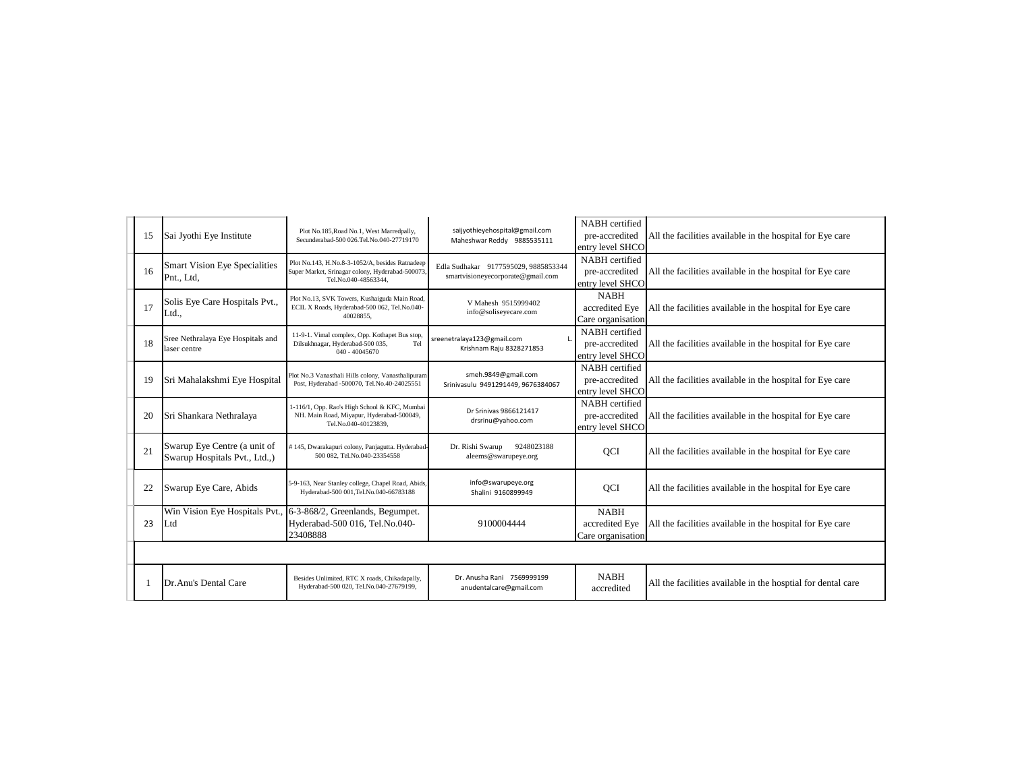| 15 | Sai Jyothi Eye Institute                                      | Plot No.185, Road No.1, West Marredpally,<br>Secunderabad-500 026.Tel.No.040-27719170                                      | saijyothieyehospital@gmail.com<br>Maheshwar Reddy 9885535111              | NABH certified<br>pre-accredited<br>entry level SHCO | All the facilities available in the hospital for Eye care    |
|----|---------------------------------------------------------------|----------------------------------------------------------------------------------------------------------------------------|---------------------------------------------------------------------------|------------------------------------------------------|--------------------------------------------------------------|
| 16 | <b>Smart Vision Eye Specialities</b><br>Pnt., Ltd.            | Plot No.143, H.No.8-3-1052/A, besides Ratnadeep<br>Super Market, Srinagar colony, Hyderabad-500073<br>Tel.No.040-48563344. | Edla Sudhakar 9177595029, 9885853344<br>smartvisioneyecorporate@gmail.com | NABH certified<br>pre-accredited<br>entry level SHCO | All the facilities available in the hospital for Eye care    |
| 17 | Solis Eye Care Hospitals Pvt.,<br>Ltd.,                       | Plot No.13, SVK Towers, Kushaiguda Main Road,<br>ECIL X Roads, Hyderabad-500 062, Tel.No.040-<br>40028855.                 | V Mahesh 9515999402<br>info@soliseyecare.com                              | <b>NABH</b><br>accredited Eye<br>Care organisation   | All the facilities available in the hospital for Eye care    |
| 18 | Sree Nethralaya Eye Hospitals and<br>laser centre             | 11-9-1. Vimal complex, Opp. Kothapet Bus stop,<br>Dilsukhnagar, Hyderabad-500 035,<br>Tel<br>$040 - 40045670$              | sreenetralaya123@gmail.com<br>Krishnam Raju 8328271853                    | NABH certified<br>pre-accredited<br>entry level SHCO | All the facilities available in the hospital for Eye care    |
| 19 | Sri Mahalakshmi Eye Hospital                                  | Plot No.3 Vanasthali Hills colony, Vanasthalipuram<br>Post, Hyderabad -500070, Tel.No.40-24025551                          | smeh.9849@gmail.com<br>Srinivasulu 9491291449, 9676384067                 | NABH certified<br>pre-accredited<br>entry level SHCO | All the facilities available in the hospital for Eye care    |
| 20 | Sri Shankara Nethralaya                                       | 1-116/1, Opp. Rao's High School & KFC, Mumbai<br>NH. Main Road, Miyapur, Hyderabad-500049,<br>Tel.No.040-40123839.         | Dr Srinivas 9866121417<br>drsrinu@yahoo.com                               | NABH certified<br>pre-accredited<br>entry level SHCO | All the facilities available in the hospital for Eye care    |
| 21 | Swarup Eye Centre (a unit of<br>Swarup Hospitals Pvt., Ltd.,) | #145, Dwarakapuri colony, Panjagutta. Hyderabad-<br>500 082, Tel.No.040-23354558                                           | Dr. Rishi Swarup<br>9248023188<br>aleems@swarupeye.org                    | QCI                                                  | All the facilities available in the hospital for Eye care    |
| 22 | Swarup Eye Care, Abids                                        | 5-9-163, Near Stanley college, Chapel Road, Abids,<br>Hyderabad-500 001, Tel.No.040-66783188                               | info@swarupeye.org<br>Shalini 9160899949                                  | QCI                                                  | All the facilities available in the hospital for Eye care    |
| 23 | Win Vision Eye Hospitals Pvt.,<br>Ltd                         | 6-3-868/2, Greenlands, Begumpet.<br>Hyderabad-500 016, Tel.No.040-<br>23408888                                             | 9100004444                                                                | <b>NABH</b><br>accredited Eye<br>Care organisation   | All the facilities available in the hospital for Eye care    |
|    |                                                               |                                                                                                                            |                                                                           |                                                      |                                                              |
|    | Dr.Anu's Dental Care                                          | Besides Unlimited, RTC X roads, Chikadapally,<br>Hyderabad-500 020, Tel.No.040-27679199,                                   | Dr. Anusha Rani 7569999199<br>anudentalcare@gmail.com                     | <b>NABH</b><br>accredited                            | All the facilities available in the hosptial for dental care |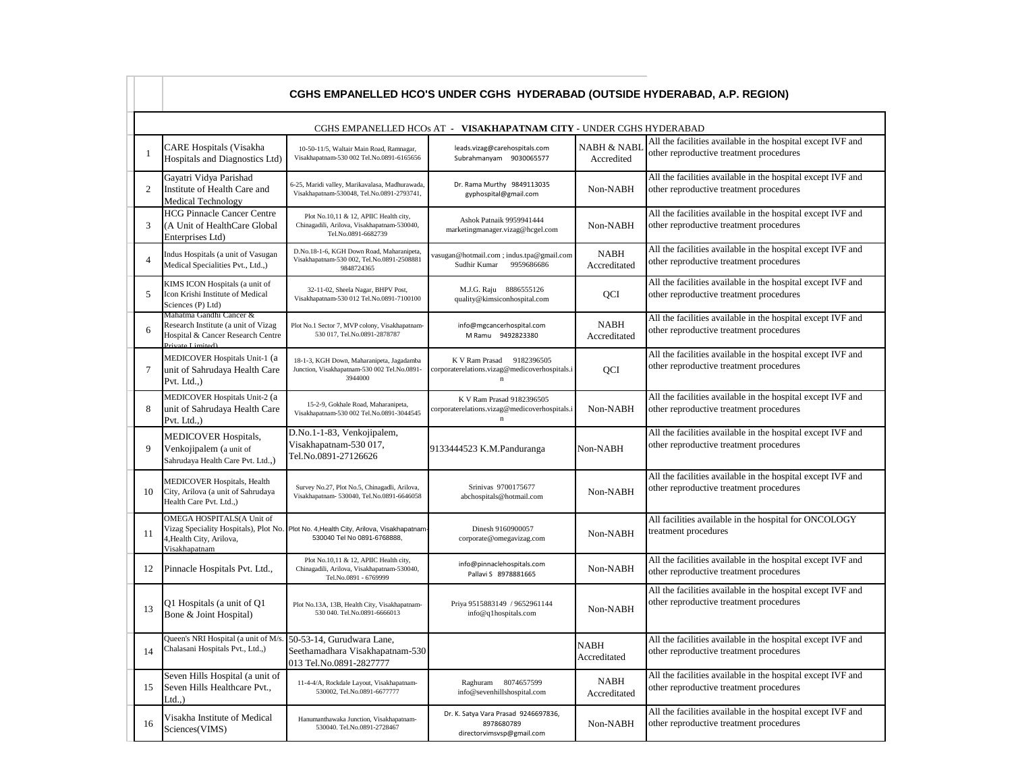|                 | CGHS EMPANELLED HCO'S UNDER CGHS HYDERABAD (OUTSIDE HYDERABAD, A.P. REGION)                                              |                                                                                                                      |                                                                                              |                             |                                                                                                        |  |  |
|-----------------|--------------------------------------------------------------------------------------------------------------------------|----------------------------------------------------------------------------------------------------------------------|----------------------------------------------------------------------------------------------|-----------------------------|--------------------------------------------------------------------------------------------------------|--|--|
|                 |                                                                                                                          |                                                                                                                      | CGHS EMPANELLED HCOs AT - VISAKHAPATNAM CITY - UNDER CGHS HYDERABAD                          |                             |                                                                                                        |  |  |
| $\overline{1}$  | <b>CARE Hospitals (Visakha</b><br>Hospitals and Diagnostics Ltd)                                                         | 10-50-11/5, Waltair Main Road, Ramnagar,<br>Visakhapatnam-530 002 Tel.No.0891-6165656                                | leads.vizag@carehospitals.com<br>Subrahmanyam 9030065577                                     | NABH & NABL<br>Accredited   | All the facilities available in the hospital except IVF and<br>other reproductive treatment procedures |  |  |
| 2               | Gayatri Vidya Parishad<br>Institute of Health Care and<br><b>Medical Technology</b>                                      | 6-25, Maridi valley, Marikavalasa, Madhurawada,<br>Visakhapatnam-530048, Tel.No.0891-2793741,                        | Dr. Rama Murthy 9849113035<br>gyphospital@gmail.com                                          | Non-NABH                    | All the facilities available in the hospital except IVF and<br>other reproductive treatment procedures |  |  |
| 3               | <b>HCG Pinnacle Cancer Centre</b><br>(A Unit of HealthCare Global<br>Enterprises Ltd)                                    | Plot No.10,11 & 12, APIIC Health city,<br>Chinagadili, Arilova, Visakhapatnam-530040,<br>Tel.No.0891-6682739         | Ashok Patnaik 9959941444<br>marketingmanager.vizag@hcgel.com                                 | Non-NABH                    | All the facilities available in the hospital except IVF and<br>other reproductive treatment procedures |  |  |
| $\Delta$        | Indus Hospitals (a unit of Vasugan<br>Medical Specialities Pvt., Ltd.,)                                                  | D.No.18-1-6, KGH Down Road, Maharanipeta,<br>Visakhapatnam-530 002, Tel.No.0891-2508881<br>9848724365                | vasugan@hotmail.com; indus.tpa@gmail.com<br>9959686686<br>Sudhir Kumar                       | <b>NABH</b><br>Accreditated | All the facilities available in the hospital except IVF and<br>other reproductive treatment procedures |  |  |
| 5               | KIMS ICON Hospitals (a unit of<br>Icon Krishi Institute of Medical<br>Sciences (P) Ltd)                                  | 32-11-02, Sheela Nagar, BHPV Post,<br>Visakhapatnam-530 012 Tel.No.0891-7100100                                      | M.J.G. Raju 8886555126<br>quality@kimsiconhospital.com                                       | QCI                         | All the facilities available in the hospital except IVF and<br>other reproductive treatment procedures |  |  |
| 6               | Mahatma Gandhi Cancer &<br>Research Institute (a unit of Vizag<br>Hospital & Cancer Research Centre<br>Private I imited) | Plot No.1 Sector 7, MVP colony, Visakhapatnam-<br>530 017, Tel.No.0891-2878787                                       | info@mgcancerhospital.com<br>M Ramu 9492823380                                               | <b>NABH</b><br>Accreditated | All the facilities available in the hospital except IVF and<br>other reproductive treatment procedures |  |  |
| $7\phantom{.0}$ | MEDICOVER Hospitals Unit-1 (a<br>unit of Sahrudaya Health Care<br>Pvt. Ltd.,)                                            | 18-1-3, KGH Down, Maharanipeta, Jagadamba<br>Junction, Visakhapatnam-530 002 Tel.No.0891-<br>3944000                 | K V Ram Prasad<br>9182396505<br>corporaterelations.vizag@medicoverhospitals.i<br>$\mathbf n$ | <b>OCI</b>                  | All the facilities available in the hospital except IVF and<br>other reproductive treatment procedures |  |  |
| 8               | MEDICOVER Hospitals Unit-2 (a<br>unit of Sahrudaya Health Care<br>Pvt. Ltd.,)                                            | 15-2-9, Gokhale Road, Maharanipeta,<br>Visakhapatnam-530 002 Tel.No.0891-3044545                                     | K V Ram Prasad 9182396505<br>corporaterelations.vizag@medicoverhospitals.i<br>$\mathbf n$    | Non-NABH                    | All the facilities available in the hospital except IVF and<br>other reproductive treatment procedures |  |  |
| $\overline{9}$  | MEDICOVER Hospitals,<br>Venkojipalem (a unit of<br>Sahrudaya Health Care Pvt. Ltd.,)                                     | D.No.1-1-83, Venkojipalem,<br>Visakhapatnam-530 017,<br>Tel.No.0891-27126626                                         | 9133444523 K.M.Panduranga                                                                    | Non-NABH                    | All the facilities available in the hospital except IVF and<br>other reproductive treatment procedures |  |  |
| 10              | MEDICOVER Hospitals, Health<br>City, Arilova (a unit of Sahrudaya<br>Health Care Pvt. Ltd.,)                             | Survey No.27, Plot No.5, Chinagadli, Arilova,<br>Visakhapatnam- 530040, Tel.No.0891-6646058                          | Srinivas 9700175677<br>abchospitals@hotmail.com                                              | Non-NABH                    | All the facilities available in the hospital except IVF and<br>other reproductive treatment procedures |  |  |
| 11              | OMEGA HOSPITALS(A Unit of<br>4, Health City, Arilova,<br>Visakhapatnam                                                   | Vizag Speciality Hospitals), Plot No. Plot No. 4, Health City, Arilova, Visakhapatnam<br>530040 Tel No 0891-6768888, | Dinesh 9160900057<br>corporate@omegavizag.com                                                | Non-NABH                    | All facilities available in the hospital for ONCOLOGY<br>treatment procedures                          |  |  |
| 12              | Pinnacle Hospitals Pvt. Ltd.,                                                                                            | Plot No.10,11 & 12, APIIC Health city,<br>Chinagadili, Arilova, Visakhapatnam-530040,<br>Tel.No.0891 - 6769999       | info@pinnaclehospitals.com<br>Pallavi S 8978881665                                           | Non-NABH                    | All the facilities available in the hospital except IVF and<br>other reproductive treatment procedures |  |  |
| 13              | Q1 Hospitals (a unit of Q1<br>Bone & Joint Hospital)                                                                     | Plot No.13A, 13B, Health City, Visakhapatnam-<br>530 040. Tel.No.0891-6666013                                        | Priya 9515883149 / 9652961144<br>info@q1hospitals.com                                        | Non-NABH                    | All the facilities available in the hospital except IVF and<br>other reproductive treatment procedures |  |  |
| 14              | Queen's NRI Hospital (a unit of M/s<br>Chalasani Hospitals Pvt., Ltd.,)                                                  | 50-53-14, Gurudwara Lane,<br>Seethamadhara Visakhapatnam-530<br>013 Tel.No.0891-2827777                              |                                                                                              | <b>NABH</b><br>Accreditated | All the facilities available in the hospital except IVF and<br>other reproductive treatment procedures |  |  |
| 15              | Seven Hills Hospital (a unit of<br>Seven Hills Healthcare Pvt.,<br>$Ltd.$ )                                              | 11-4-4/A, Rockdale Layout, Visakhapatnam-<br>530002, Tel.No.0891-6677777                                             | Raghuram 8074657599<br>info@sevenhillshospital.com                                           | NABH<br>Accreditated        | All the facilities available in the hospital except IVF and<br>other reproductive treatment procedures |  |  |
| 16              | Visakha Institute of Medical<br>Sciences(VIMS)                                                                           | Hanumanthawaka Junction, Visakhapatnam-<br>530040. Tel.No.0891-2728467                                               | Dr. K. Satya Vara Prasad 9246697836,<br>8978680789<br>directorvimsvsp@gmail.com              | Non-NABH                    | All the facilities available in the hospital except IVF and<br>other reproductive treatment procedures |  |  |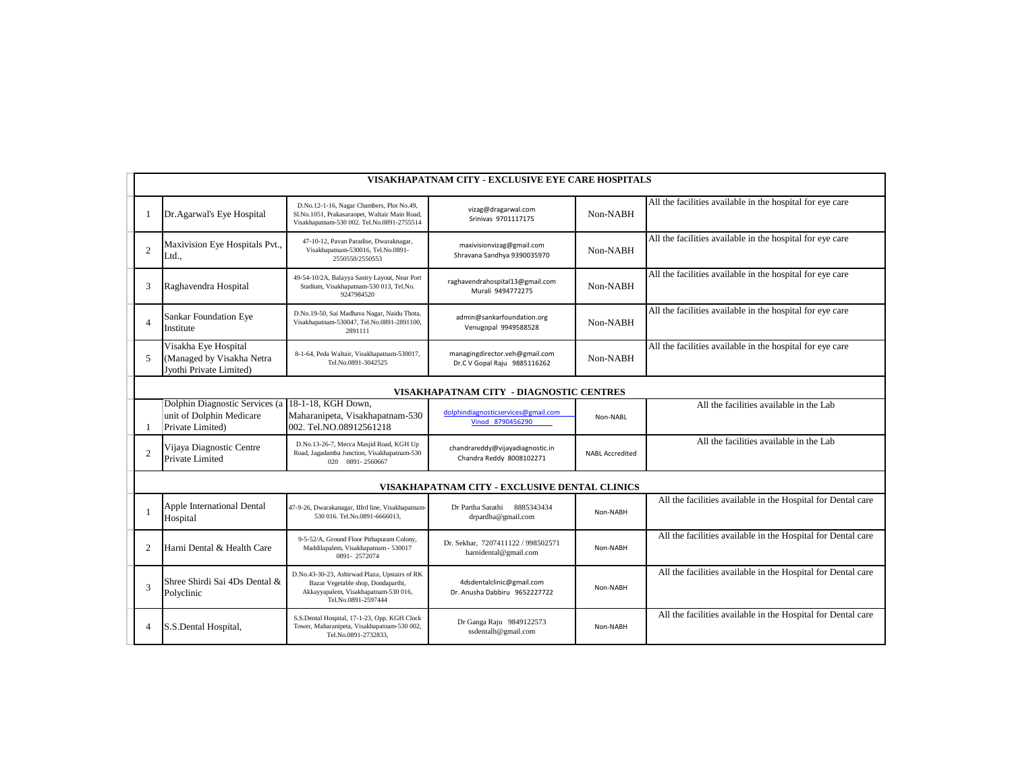|                | VISAKHAPATNAM CITY - EXCLUSIVE EYE CARE HOSPITALS                              |                                                                                                                                                    |                                                                |                        |                                                              |  |  |  |
|----------------|--------------------------------------------------------------------------------|----------------------------------------------------------------------------------------------------------------------------------------------------|----------------------------------------------------------------|------------------------|--------------------------------------------------------------|--|--|--|
|                | Dr.Agarwal's Eye Hospital                                                      | D.No.12-1-16, Nagar Chambers, Plot No.49,<br>Sl.No.1051, Prakasaraopet, Waltair Main Road,<br>Visakhapatnam-530 002. Tel.No.0891-2755514           | vizag@dragarwal.com<br>Srinivas 9701117175                     | Non-NABH               | All the facilities available in the hospital for eye care    |  |  |  |
| $\overline{c}$ | Maxivision Eye Hospitals Pvt.,<br>Ltd.,                                        | 47-10-12, Pavan Paradise, Dwaraknagar,<br>Visakhapatnam-530016, Tel.No.0891-<br>2550550/2550553                                                    | maxivisionvizag@gmail.com<br>Shravana Sandhya 9390035970       | Non-NABH               | All the facilities available in the hospital for eye care    |  |  |  |
| 3              | Raghavendra Hospital                                                           | 49-54-10/2A, Balayya Sastry Layout, Near Port<br>Stadium, Visakhapatnam-530 013, Tel.No.<br>9247984520                                             | raghavendrahospital13@gmail.com<br>Murali 9494772275           | Non-NABH               | All the facilities available in the hospital for eye care    |  |  |  |
|                | Sankar Foundation Eye<br>Institute                                             | D.No.19-50, Sai Madhava Nagar, Naidu Thota,<br>Visakhapatnam-530047, Tel.No.0891-2891100,<br>2891111                                               | admin@sankarfoundation.org<br>Venugopal 9949588528             | Non-NABH               | All the facilities available in the hospital for eye care    |  |  |  |
| 5              | Visakha Eye Hospital<br>(Managed by Visakha Netra<br>Jyothi Private Limited)   | 8-1-64, Peda Waltair, Visakhapatnam-530017,<br>Tel.No.0891-3042525                                                                                 | managingdirector.veh@gmail.com<br>Dr.C V Gopal Raju 9885116262 | Non-NABH               | All the facilities available in the hospital for eye care    |  |  |  |
|                |                                                                                |                                                                                                                                                    | VISAKHAPATNAM CITY - DIAGNOSTIC CENTRES                        |                        |                                                              |  |  |  |
|                | Dolphin Diagnostic Services (a<br>unit of Dolphin Medicare<br>Private Limited) | 18-1-18. KGH Down.<br>Maharanipeta, Visakhapatnam-530<br>002. Tel.NO.08912561218                                                                   | dolphindiagnosticservices@gmail.com<br>Vinod 8790456290        | Non-NABL               | All the facilities available in the Lab                      |  |  |  |
| $\overline{2}$ | Vijaya Diagnostic Centre<br>Private Limited                                    | D.No.13-26-7, Mecca Masjid Road, KGH Up<br>Road, Jagadamba Junction, Visakhapatnam-530<br>020 0891-2560667                                         | chandrareddy@vijayadiagnostic.in<br>Chandra Reddy 8008102271   | <b>NABL Accredited</b> | All the facilities available in the Lab                      |  |  |  |
|                |                                                                                |                                                                                                                                                    | VISAKHAPATNAM CITY - EXCLUSIVE DENTAL CLINICS                  |                        |                                                              |  |  |  |
|                | Apple International Dental<br>Hospital                                         | 47-9-26, Dwarakanagar, IIIrd line, Visakhapatnam-<br>530 016. Tel.No.0891-6666013,                                                                 | Dr Partha Sarathi 8885343434<br>drpardha@gmail.com             | Non-NABH               | All the facilities available in the Hospital for Dental care |  |  |  |
| $\overline{c}$ | Harni Dental & Health Care                                                     | 9-5-52/A, Ground Floor Pithapuram Colony,<br>Maddilapalem, Visakhapatnam - 530017<br>0891-2572074                                                  | Dr. Sekhar, 7207411122 / 998502571<br>harnidental@gmail.com    | Non-NABH               | All the facilities available in the Hospital for Dental care |  |  |  |
| $\overline{3}$ | Shree Shirdi Sai 4Ds Dental &<br>Polyclinic                                    | D.No.43-30-23, Ashirwad Plaza, Upstairs of RK<br>Bazar Vegetable shop, Dondaparthi,<br>Akkayyapalem, Visakhapatnam-530 016,<br>Tel.No.0891-2597444 | 4dsdentalclinic@gmail.com<br>Dr. Anusha Dabbiru 9652227722     | Non-NABH               | All the facilities available in the Hospital for Dental care |  |  |  |
| 4              | S.S.Dental Hospital,                                                           | S.S.Dental Hospital, 17-1-23, Opp. KGH Clock<br>Tower, Maharanipeta, Visakhapatnam-530 002,<br>Tel.No.0891-2732833.                                | Dr Ganga Raju 9849122573<br>ssdentalh@gmail.com                | Non-NABH               | All the facilities available in the Hospital for Dental care |  |  |  |